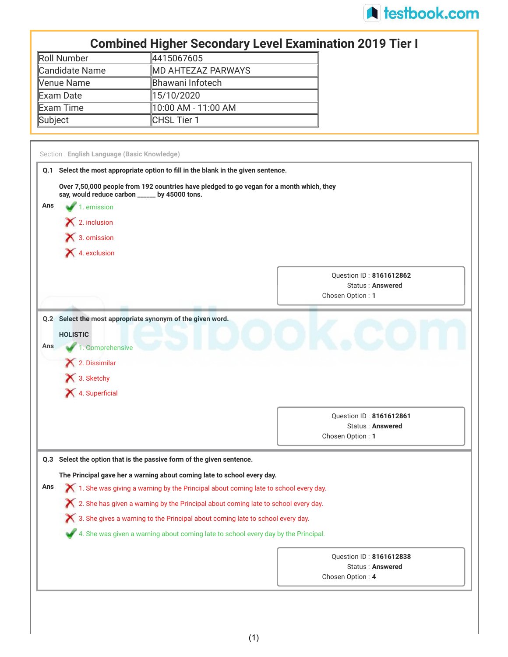

## **Combined Higher Secondary Level Examination 2019 Tier I**

| Roll Number    | 4415067605                 |
|----------------|----------------------------|
| Candidate Name | <b>IMD AHTEZAZ PARWAYS</b> |
| Venue Name     | Bhawani Infotech           |
| Exam Date      | 15/10/2020                 |
| Exam Time      | ∥10:00 AM - 11:00 AM       |
| Subject        | CHSL Tier 1                |

|     | Q.1 Select the most appropriate option to fill in the blank in the given sentence.                                                        |                                                                        |
|-----|-------------------------------------------------------------------------------------------------------------------------------------------|------------------------------------------------------------------------|
|     | Over 7,50,000 people from 192 countries have pledged to go vegan for a month which, they<br>say, would reduce carbon _____ by 45000 tons. |                                                                        |
| Ans | 1. emission                                                                                                                               |                                                                        |
|     | $\blacktriangleright$ 2. inclusion                                                                                                        |                                                                        |
|     | $\blacktriangleright$ 3. omission                                                                                                         |                                                                        |
|     | 4. exclusion                                                                                                                              |                                                                        |
|     |                                                                                                                                           | Question ID: 8161612862<br><b>Status: Answered</b><br>Chosen Option: 1 |
|     |                                                                                                                                           |                                                                        |
|     | Q.2 Select the most appropriate synonym of the given word.                                                                                |                                                                        |
| Ans | <b>HOLISTIC</b><br>1. Comprehensive                                                                                                       |                                                                        |
|     | 2. Dissimilar                                                                                                                             |                                                                        |
|     | X 3. Sketchy                                                                                                                              |                                                                        |
|     | 4. Superficial                                                                                                                            |                                                                        |
|     |                                                                                                                                           | Question ID: 8161612861                                                |
|     |                                                                                                                                           | <b>Status: Answered</b>                                                |
|     |                                                                                                                                           | Chosen Option: 1                                                       |
|     | Q.3 Select the option that is the passive form of the given sentence.                                                                     |                                                                        |
|     | The Principal gave her a warning about coming late to school every day.                                                                   |                                                                        |
| Ans | $\blacktriangleright$ 1. She was giving a warning by the Principal about coming late to school every day.                                 |                                                                        |
|     | $\chi$ 2. She has given a warning by the Principal about coming late to school every day.                                                 |                                                                        |
|     | $\bigtimes$ 3. She gives a warning to the Principal about coming late to school every day.                                                |                                                                        |
|     | 4. She was given a warning about coming late to school every day by the Principal.                                                        |                                                                        |
|     |                                                                                                                                           | Question ID: 8161612838                                                |
|     |                                                                                                                                           | <b>Status: Answered</b><br>Chosen Option: 4                            |
|     |                                                                                                                                           |                                                                        |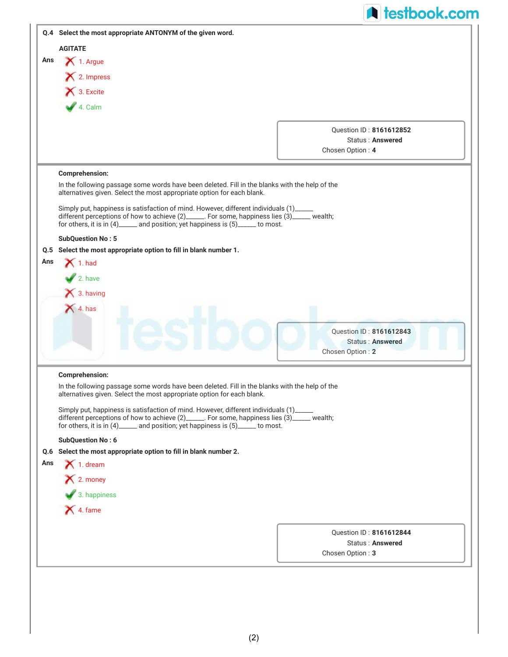|     | <b>A</b> testbook.com                                                                                                                                                                                                                                                 |  |
|-----|-----------------------------------------------------------------------------------------------------------------------------------------------------------------------------------------------------------------------------------------------------------------------|--|
|     | Q.4 Select the most appropriate ANTONYM of the given word.                                                                                                                                                                                                            |  |
|     | <b>AGITATE</b>                                                                                                                                                                                                                                                        |  |
| Ans | 1. Argue                                                                                                                                                                                                                                                              |  |
|     | X 2. Impress                                                                                                                                                                                                                                                          |  |
|     | 3. Excite                                                                                                                                                                                                                                                             |  |
|     |                                                                                                                                                                                                                                                                       |  |
|     | $4.$ Calm                                                                                                                                                                                                                                                             |  |
|     | Ouestion ID: 8161612852                                                                                                                                                                                                                                               |  |
|     | Status: Answered                                                                                                                                                                                                                                                      |  |
|     | Chosen Option: 4                                                                                                                                                                                                                                                      |  |
|     | <b>Comprehension:</b>                                                                                                                                                                                                                                                 |  |
|     | In the following passage some words have been deleted. Fill in the blanks with the help of the                                                                                                                                                                        |  |
|     | alternatives given. Select the most appropriate option for each blank.                                                                                                                                                                                                |  |
|     | Simply put, happiness is satisfaction of mind. However, different individuals (1)_<br>different perceptions of how to achieve (2)______. For some, happiness lies (3)_____ wealth;<br>for others, it is in (4)______ and position; yet happiness is (5)_____ to most. |  |
|     | <b>SubQuestion No: 5</b>                                                                                                                                                                                                                                              |  |
| Q.5 | Select the most appropriate option to fill in blank number 1.                                                                                                                                                                                                         |  |
| Ans | $\blacktriangleright$ 1. had                                                                                                                                                                                                                                          |  |
|     | $\blacktriangleright$ 2. have                                                                                                                                                                                                                                         |  |
|     | $\bigtimes$ 3. having                                                                                                                                                                                                                                                 |  |
|     | $\bigtimes$ 4. has                                                                                                                                                                                                                                                    |  |
|     |                                                                                                                                                                                                                                                                       |  |
|     | <b>Ouestion ID: 8161612843</b>                                                                                                                                                                                                                                        |  |
|     | <b>Status: Answered</b>                                                                                                                                                                                                                                               |  |
|     | Chosen Option: 2                                                                                                                                                                                                                                                      |  |
|     | <b>Comprehension:</b>                                                                                                                                                                                                                                                 |  |
|     | In the following passage some words have been deleted. Fill in the blanks with the help of the                                                                                                                                                                        |  |
|     | alternatives given. Select the most appropriate option for each blank.                                                                                                                                                                                                |  |
|     | Simply put, happiness is satisfaction of mind. However, different individuals (1)_____                                                                                                                                                                                |  |
|     | different perceptions of how to achieve (2)______. For some, happiness lies (3)_____ wealth;<br>for others, it is in (4)______ and position; yet happiness is (5)_____ to most.                                                                                       |  |
|     | <b>SubQuestion No: 6</b>                                                                                                                                                                                                                                              |  |
|     | Q.6 Select the most appropriate option to fill in blank number 2.                                                                                                                                                                                                     |  |
| Ans | $\bigtimes$ 1. dream                                                                                                                                                                                                                                                  |  |
|     | X 2. money                                                                                                                                                                                                                                                            |  |
|     |                                                                                                                                                                                                                                                                       |  |
|     | 3. happiness                                                                                                                                                                                                                                                          |  |
|     | 4. fame                                                                                                                                                                                                                                                               |  |
|     |                                                                                                                                                                                                                                                                       |  |
|     | Question ID: 8161612844<br>Status: Answered                                                                                                                                                                                                                           |  |
|     | Chosen Option: 3                                                                                                                                                                                                                                                      |  |
|     |                                                                                                                                                                                                                                                                       |  |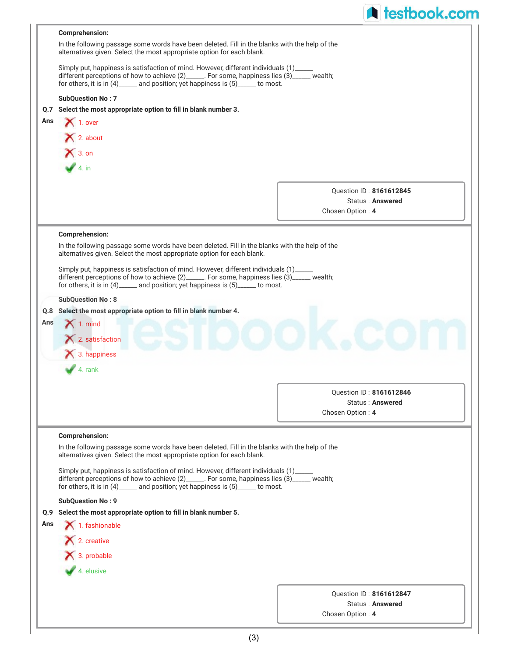|     |                                                                                                                                                                                                                                                                           | <b>A</b> testbook.com                |
|-----|---------------------------------------------------------------------------------------------------------------------------------------------------------------------------------------------------------------------------------------------------------------------------|--------------------------------------|
|     | <b>Comprehension:</b>                                                                                                                                                                                                                                                     |                                      |
|     | In the following passage some words have been deleted. Fill in the blanks with the help of the<br>alternatives given. Select the most appropriate option for each blank.                                                                                                  |                                      |
|     | Simply put, happiness is satisfaction of mind. However, different individuals (1)_____<br>different perceptions of how to achieve (2)______. For some, happiness lies (3)_____ wealth;<br>for others, it is in (4)______ and position; yet happiness is (5)_____ to most. |                                      |
|     | <b>SubQuestion No: 7</b>                                                                                                                                                                                                                                                  |                                      |
|     | Q.7 Select the most appropriate option to fill in blank number 3.                                                                                                                                                                                                         |                                      |
| Ans | $\bigtimes$ 1. over                                                                                                                                                                                                                                                       |                                      |
|     | X 2. about                                                                                                                                                                                                                                                                |                                      |
|     | $X$ 3. on                                                                                                                                                                                                                                                                 |                                      |
|     | 4. in                                                                                                                                                                                                                                                                     |                                      |
|     |                                                                                                                                                                                                                                                                           |                                      |
|     |                                                                                                                                                                                                                                                                           | Question ID: 8161612845              |
|     |                                                                                                                                                                                                                                                                           | Status: Answered                     |
|     |                                                                                                                                                                                                                                                                           | Chosen Option: 4                     |
|     | <b>Comprehension:</b>                                                                                                                                                                                                                                                     |                                      |
|     | In the following passage some words have been deleted. Fill in the blanks with the help of the                                                                                                                                                                            |                                      |
|     | alternatives given. Select the most appropriate option for each blank.                                                                                                                                                                                                    |                                      |
|     | Simply put, happiness is satisfaction of mind. However, different individuals (1)____<br>different perceptions of how to achieve (2)______. For some, happiness lies (3)_____ wealth;<br>for others, it is in (4)______ and position; yet happiness is (5)_____ to most.  |                                      |
|     | <b>SubQuestion No: 8</b>                                                                                                                                                                                                                                                  |                                      |
|     | Q.8 Select the most appropriate option to fill in blank number 4.                                                                                                                                                                                                         |                                      |
| Ans | $\blacktriangleright$ 1. mind                                                                                                                                                                                                                                             |                                      |
|     | $\blacktriangle$ 2. satisfaction                                                                                                                                                                                                                                          |                                      |
|     | $\blacktriangleright$ 3. happiness                                                                                                                                                                                                                                        |                                      |
|     | $\blacktriangleright$ 4. rank                                                                                                                                                                                                                                             |                                      |
|     |                                                                                                                                                                                                                                                                           |                                      |
|     |                                                                                                                                                                                                                                                                           | Question ID: 8161612846              |
|     |                                                                                                                                                                                                                                                                           | Status: Answered<br>Chosen Option: 4 |
|     |                                                                                                                                                                                                                                                                           |                                      |
|     | <b>Comprehension:</b>                                                                                                                                                                                                                                                     |                                      |
|     | In the following passage some words have been deleted. Fill in the blanks with the help of the<br>alternatives given. Select the most appropriate option for each blank.                                                                                                  |                                      |
|     | Simply put, happiness is satisfaction of mind. However, different individuals (1)<br>different perceptions of how to achieve (2)______. For some, happiness lies (3)______ wealth;<br>for others, it is in (4)______ and position; yet happiness is (5)_____ to most.     |                                      |
|     | <b>SubQuestion No: 9</b>                                                                                                                                                                                                                                                  |                                      |
| Q.9 | Select the most appropriate option to fill in blank number 5.                                                                                                                                                                                                             |                                      |
| Ans | 1. fashionable                                                                                                                                                                                                                                                            |                                      |
|     | X 2. creative                                                                                                                                                                                                                                                             |                                      |
|     | 3. probable                                                                                                                                                                                                                                                               |                                      |
|     | $4.$ elusive                                                                                                                                                                                                                                                              |                                      |
|     |                                                                                                                                                                                                                                                                           |                                      |
|     |                                                                                                                                                                                                                                                                           | Ouestion ID: 8161612847              |
|     |                                                                                                                                                                                                                                                                           | Status: Answered                     |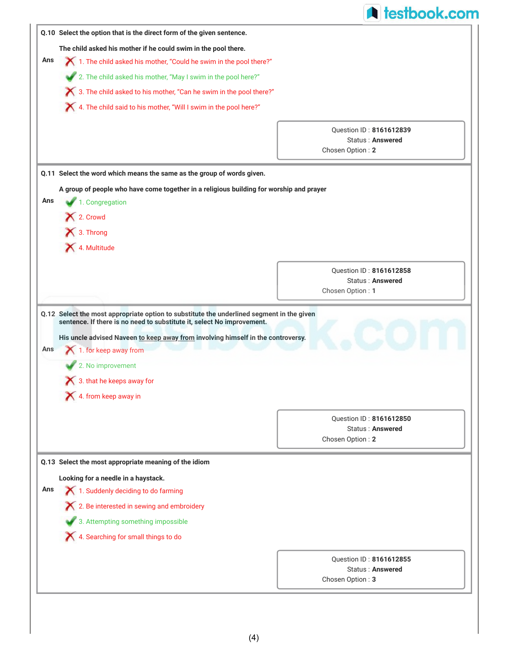|            |                                                                                                                                                                                                                                                         | <b>A</b> testbook.com                              |
|------------|---------------------------------------------------------------------------------------------------------------------------------------------------------------------------------------------------------------------------------------------------------|----------------------------------------------------|
|            | Q.10 Select the option that is the direct form of the given sentence.                                                                                                                                                                                   |                                                    |
|            | The child asked his mother if he could swim in the pool there.                                                                                                                                                                                          |                                                    |
| Ans        | X 1. The child asked his mother, "Could he swim in the pool there?"                                                                                                                                                                                     |                                                    |
|            | 2. The child asked his mother, "May I swim in the pool here?"                                                                                                                                                                                           |                                                    |
|            | X 3. The child asked to his mother, "Can he swim in the pool there?"                                                                                                                                                                                    |                                                    |
|            | X 4. The child said to his mother, "Will I swim in the pool here?"                                                                                                                                                                                      |                                                    |
|            |                                                                                                                                                                                                                                                         |                                                    |
|            |                                                                                                                                                                                                                                                         | Question ID: 8161612839<br><b>Status: Answered</b> |
|            |                                                                                                                                                                                                                                                         | Chosen Option: 2                                   |
|            | Q.11 Select the word which means the same as the group of words given.                                                                                                                                                                                  |                                                    |
|            | A group of people who have come together in a religious building for worship and prayer                                                                                                                                                                 |                                                    |
| Ans        | 1. Congregation                                                                                                                                                                                                                                         |                                                    |
|            | 2. Crowd                                                                                                                                                                                                                                                |                                                    |
|            | X 3. Throng                                                                                                                                                                                                                                             |                                                    |
|            | 4. Multitude                                                                                                                                                                                                                                            |                                                    |
|            |                                                                                                                                                                                                                                                         |                                                    |
|            |                                                                                                                                                                                                                                                         |                                                    |
|            |                                                                                                                                                                                                                                                         | Question ID: 8161612858                            |
|            | Q.12 Select the most appropriate option to substitute the underlined segment in the given<br>sentence. If there is no need to substitute it, select No improvement.<br>His uncle advised Naveen to keep away from involving himself in the controversy. | Status: Answered<br>Chosen Option: 1               |
|            | 1. for keep away from<br>2. No improvement<br>$\bigtimes$ 3. that he keeps away for                                                                                                                                                                     |                                                    |
|            | 4. from keep away in                                                                                                                                                                                                                                    |                                                    |
|            |                                                                                                                                                                                                                                                         | Question ID: 8161612850                            |
|            |                                                                                                                                                                                                                                                         | <b>Status: Answered</b>                            |
|            |                                                                                                                                                                                                                                                         | Chosen Option: 2                                   |
|            | Q.13 Select the most appropriate meaning of the idiom                                                                                                                                                                                                   |                                                    |
|            | Looking for a needle in a haystack.                                                                                                                                                                                                                     |                                                    |
|            | 1. Suddenly deciding to do farming                                                                                                                                                                                                                      |                                                    |
|            | X 2. Be interested in sewing and embroidery                                                                                                                                                                                                             |                                                    |
|            | 3. Attempting something impossible                                                                                                                                                                                                                      |                                                    |
|            | X 4. Searching for small things to do                                                                                                                                                                                                                   |                                                    |
|            |                                                                                                                                                                                                                                                         |                                                    |
| Ans<br>Ans |                                                                                                                                                                                                                                                         | Question ID: 8161612855<br>Status: Answered        |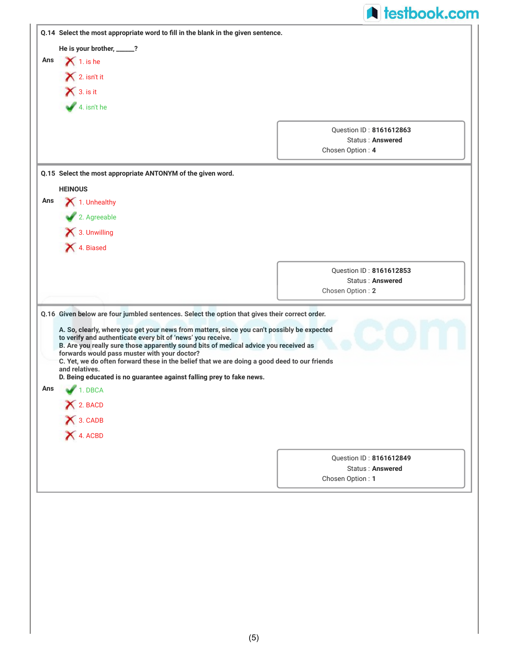|     |                                                                                                                                                                                                                                                                                                                                                                                                                                                                                                                                               | <b>A</b> testbook.com                       |
|-----|-----------------------------------------------------------------------------------------------------------------------------------------------------------------------------------------------------------------------------------------------------------------------------------------------------------------------------------------------------------------------------------------------------------------------------------------------------------------------------------------------------------------------------------------------|---------------------------------------------|
|     | Q.14 Select the most appropriate word to fill in the blank in the given sentence.                                                                                                                                                                                                                                                                                                                                                                                                                                                             |                                             |
|     | He is your brother, _____?                                                                                                                                                                                                                                                                                                                                                                                                                                                                                                                    |                                             |
| Ans | $\blacktriangleright$ 1. is he                                                                                                                                                                                                                                                                                                                                                                                                                                                                                                                |                                             |
|     | $\blacktriangleright$ 2. isn't it                                                                                                                                                                                                                                                                                                                                                                                                                                                                                                             |                                             |
|     | $\bigtimes$ 3. is it                                                                                                                                                                                                                                                                                                                                                                                                                                                                                                                          |                                             |
|     | $4.$ isn't he                                                                                                                                                                                                                                                                                                                                                                                                                                                                                                                                 |                                             |
|     |                                                                                                                                                                                                                                                                                                                                                                                                                                                                                                                                               | Question ID: 8161612863<br>Status: Answered |
|     |                                                                                                                                                                                                                                                                                                                                                                                                                                                                                                                                               | Chosen Option: 4                            |
|     | Q.15 Select the most appropriate ANTONYM of the given word.                                                                                                                                                                                                                                                                                                                                                                                                                                                                                   |                                             |
|     | <b>HEINOUS</b>                                                                                                                                                                                                                                                                                                                                                                                                                                                                                                                                |                                             |
| Ans | 1. Unhealthy                                                                                                                                                                                                                                                                                                                                                                                                                                                                                                                                  |                                             |
|     | 2. Agreeable                                                                                                                                                                                                                                                                                                                                                                                                                                                                                                                                  |                                             |
|     | 13. Unwilling                                                                                                                                                                                                                                                                                                                                                                                                                                                                                                                                 |                                             |
|     | X 4. Biased                                                                                                                                                                                                                                                                                                                                                                                                                                                                                                                                   |                                             |
|     |                                                                                                                                                                                                                                                                                                                                                                                                                                                                                                                                               |                                             |
|     |                                                                                                                                                                                                                                                                                                                                                                                                                                                                                                                                               |                                             |
|     |                                                                                                                                                                                                                                                                                                                                                                                                                                                                                                                                               | Question ID: 8161612853                     |
|     | Q.16 Given below are four jumbled sentences. Select the option that gives their correct order.                                                                                                                                                                                                                                                                                                                                                                                                                                                | Status: Answered<br>Chosen Option: 2        |
| Ans | A. So, clearly, where you get your news from matters, since you can't possibly be expected<br>to verify and authenticate every bit of 'news' you receive.<br>B. Are you really sure those apparently sound bits of medical advice you received as<br>forwards would pass muster with your doctor?<br>C. Yet, we do often forward these in the belief that we are doing a good deed to our friends<br>and relatives.<br>D. Being educated is no guarantee against falling prey to fake news.<br>1. DBCA<br>X 2. BACD<br>X 3. CADB<br>X 4. ACBD |                                             |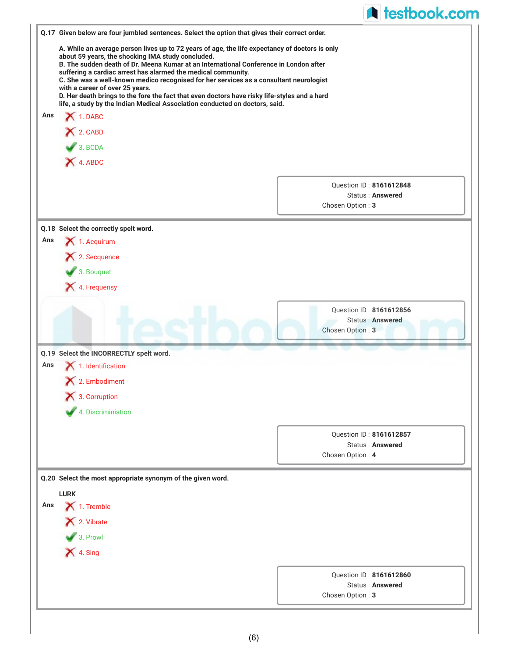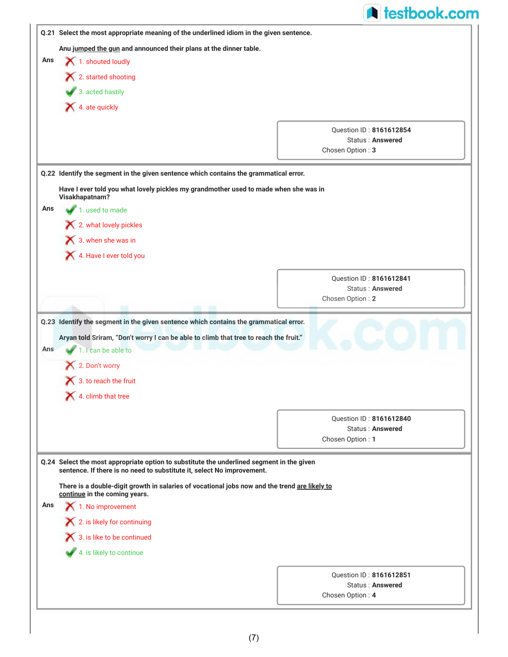|     |                                                                                                                                                                                                                                                                      | <b>A</b> testbook.com                                           |
|-----|----------------------------------------------------------------------------------------------------------------------------------------------------------------------------------------------------------------------------------------------------------------------|-----------------------------------------------------------------|
|     | Q.21 Select the most appropriate meaning of the underlined idiom in the given sentence.                                                                                                                                                                              |                                                                 |
|     | Anu jumped the gun and announced their plans at the dinner table.                                                                                                                                                                                                    |                                                                 |
| Ans | 1. shouted loudly                                                                                                                                                                                                                                                    |                                                                 |
|     | X 2. started shooting                                                                                                                                                                                                                                                |                                                                 |
|     | 3. acted hastily                                                                                                                                                                                                                                                     |                                                                 |
|     | 4. ate quickly                                                                                                                                                                                                                                                       |                                                                 |
|     |                                                                                                                                                                                                                                                                      | Question ID: 8161612854                                         |
|     |                                                                                                                                                                                                                                                                      | <b>Status: Answered</b>                                         |
|     |                                                                                                                                                                                                                                                                      | Chosen Option: 3                                                |
|     | Q.22 Identify the segment in the given sentence which contains the grammatical error.                                                                                                                                                                                |                                                                 |
|     | Have I ever told you what lovely pickles my grandmother used to made when she was in<br>Visakhapatnam?                                                                                                                                                               |                                                                 |
| Ans | 1. used to made                                                                                                                                                                                                                                                      |                                                                 |
|     | $\blacktriangleright$ 2. what lovely pickles                                                                                                                                                                                                                         |                                                                 |
|     | 3. when she was in                                                                                                                                                                                                                                                   |                                                                 |
|     | 4. Have I ever told you                                                                                                                                                                                                                                              |                                                                 |
|     |                                                                                                                                                                                                                                                                      | Question ID: 8161612841                                         |
|     |                                                                                                                                                                                                                                                                      | <b>Status: Answered</b>                                         |
|     | <b>STATISTICS</b>                                                                                                                                                                                                                                                    | Chosen Option: 2                                                |
| Ans | Aryan told Sriram, "Don't worry I can be able to climb that tree to reach the fruit."<br>1. I can be able to<br>2. Don't worry                                                                                                                                       |                                                                 |
|     | 3. to reach the fruit                                                                                                                                                                                                                                                |                                                                 |
|     | 4. climb that tree                                                                                                                                                                                                                                                   |                                                                 |
|     |                                                                                                                                                                                                                                                                      | Question ID: 8161612840                                         |
|     |                                                                                                                                                                                                                                                                      | Status: Answered<br>Chosen Option: 1                            |
|     | Q.24 Select the most appropriate option to substitute the underlined segment in the given<br>sentence. If there is no need to substitute it, select No improvement.<br>There is a double-digit growth in salaries of vocational jobs now and the trend are likely to |                                                                 |
|     | continue in the coming years.<br>$\blacktriangle$ 1. No improvement                                                                                                                                                                                                  |                                                                 |
|     | 2. is likely for continuing                                                                                                                                                                                                                                          |                                                                 |
|     | 3. is like to be continued                                                                                                                                                                                                                                           |                                                                 |
| Ans | 4. is likely to continue                                                                                                                                                                                                                                             |                                                                 |
|     |                                                                                                                                                                                                                                                                      |                                                                 |
|     |                                                                                                                                                                                                                                                                      | Question ID: 8161612851<br>Status: Answered<br>Chosen Option: 4 |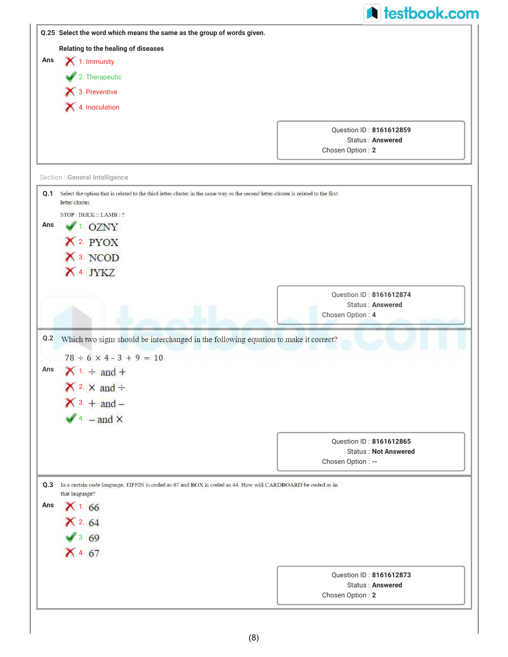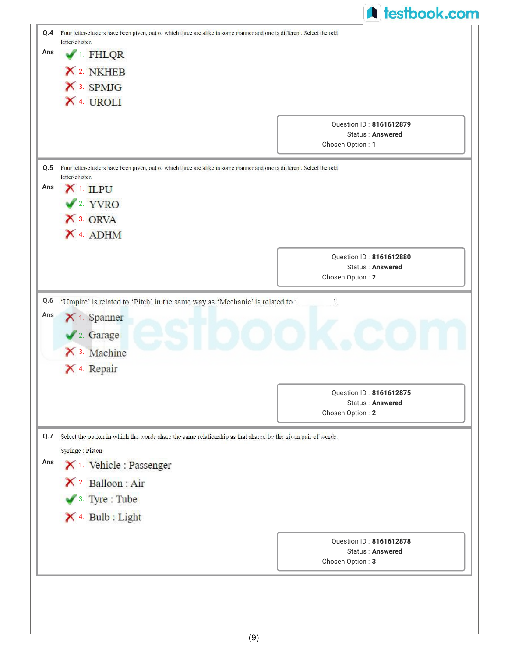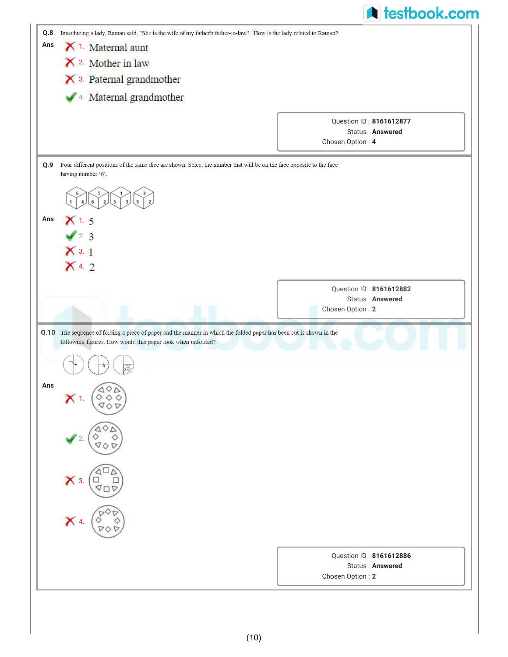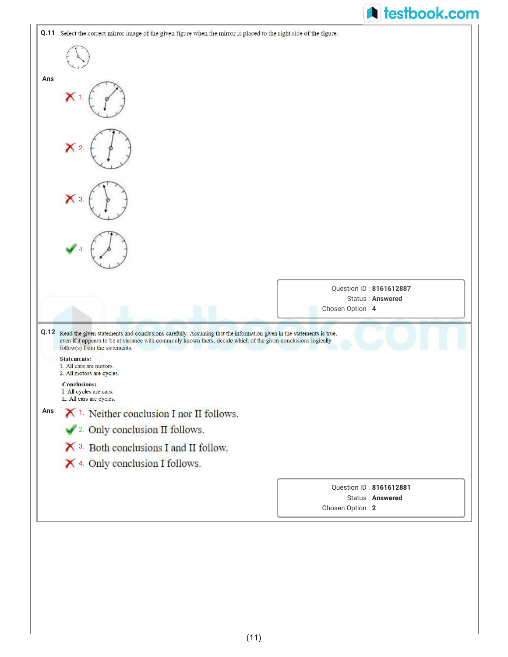|     |                                                                                                                                                                                                                                                                                                     | <b>A</b> testbook.com                              |  |
|-----|-----------------------------------------------------------------------------------------------------------------------------------------------------------------------------------------------------------------------------------------------------------------------------------------------------|----------------------------------------------------|--|
|     | <b>Q.11</b> Select the correct mirror image of the given figure when the mirror is placed to the right side of the figure.                                                                                                                                                                          |                                                    |  |
|     |                                                                                                                                                                                                                                                                                                     |                                                    |  |
| Ans |                                                                                                                                                                                                                                                                                                     |                                                    |  |
|     | $\boldsymbol{\mathsf{x}}$                                                                                                                                                                                                                                                                           |                                                    |  |
|     | X <sub>2</sub>                                                                                                                                                                                                                                                                                      |                                                    |  |
|     |                                                                                                                                                                                                                                                                                                     |                                                    |  |
|     |                                                                                                                                                                                                                                                                                                     |                                                    |  |
|     |                                                                                                                                                                                                                                                                                                     |                                                    |  |
|     |                                                                                                                                                                                                                                                                                                     | Question ID: 8161612887                            |  |
|     |                                                                                                                                                                                                                                                                                                     | <b>Status: Answered</b><br>Chosen Option: 4        |  |
|     | Q.12 Read the given statements and conclusions carefully. Assuming that the information given in the statements is true,<br>even if it appears to be at variance with commonly known facts, decide which of the given conclusions logically<br>follow(s) from the statements.<br><b>Statements:</b> |                                                    |  |
|     | 1. All cars are motors.<br>2. All motors are cycles.                                                                                                                                                                                                                                                |                                                    |  |
|     | <b>Conclusions:</b><br>I. All cycles are cars.<br>II. All cars are cycles.                                                                                                                                                                                                                          |                                                    |  |
|     | $X$ <sup>1.</sup> Neither conclusion I nor II follows.                                                                                                                                                                                                                                              |                                                    |  |
|     | 2. Only conclusion II follows.                                                                                                                                                                                                                                                                      |                                                    |  |
|     | $\mathsf{\times}$ 3. Both conclusions I and II follow.                                                                                                                                                                                                                                              |                                                    |  |
|     | X 4. Only conclusion I follows.                                                                                                                                                                                                                                                                     |                                                    |  |
| Ans |                                                                                                                                                                                                                                                                                                     | Question ID: 8161612881<br><b>Status: Answered</b> |  |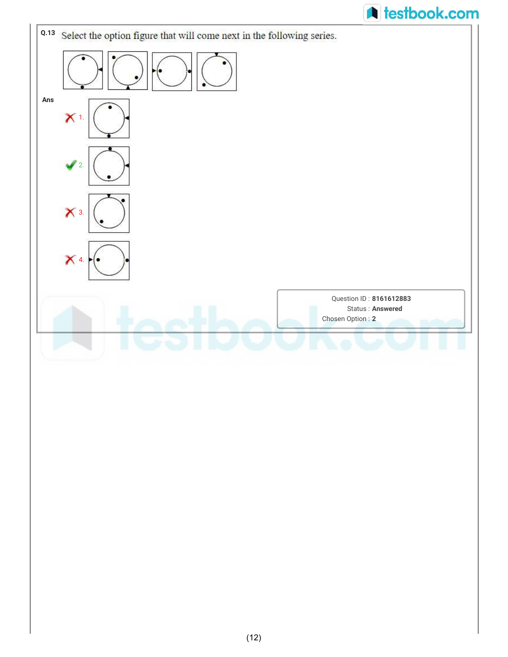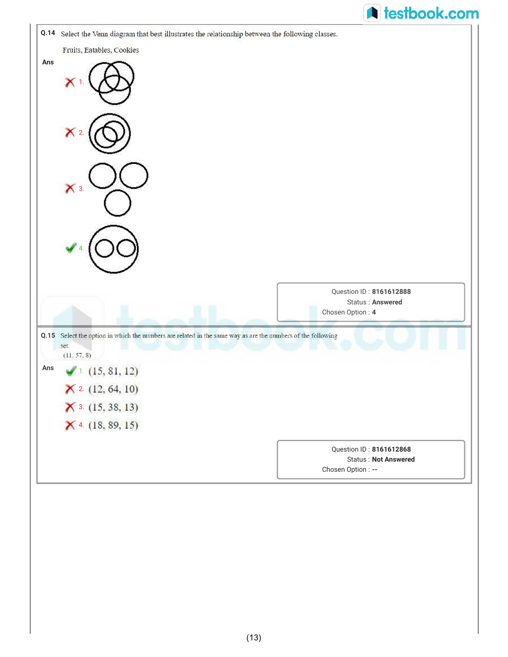|                                                                                                             | <b>A</b> testbook.com                                  |
|-------------------------------------------------------------------------------------------------------------|--------------------------------------------------------|
| Q.14 Select the Venn diagram that best illustrates the relationship between the following classes.          |                                                        |
| Fruits, Eatables, Cookies                                                                                   |                                                        |
| Ans                                                                                                         |                                                        |
|                                                                                                             |                                                        |
|                                                                                                             |                                                        |
| $\mathsf{X}$ 2                                                                                              |                                                        |
|                                                                                                             |                                                        |
|                                                                                                             |                                                        |
| $\mathsf{X}$ 3.                                                                                             |                                                        |
|                                                                                                             |                                                        |
|                                                                                                             |                                                        |
|                                                                                                             |                                                        |
|                                                                                                             |                                                        |
|                                                                                                             |                                                        |
|                                                                                                             | Question ID: 8161612888                                |
|                                                                                                             | Status: Answered<br>Chosen Option: 4                   |
| Q.15 Select the option in which the numbers are related in the same way as are the numbers of the following |                                                        |
| set.<br>(11, 57, 8)                                                                                         |                                                        |
| Ans<br>(1. (15, 81, 12))                                                                                    |                                                        |
| $\times$ 2. (12, 64, 10)                                                                                    |                                                        |
|                                                                                                             |                                                        |
|                                                                                                             |                                                        |
| $\times$ 3. (15, 38, 13)                                                                                    |                                                        |
| $X$ 4. (18, 89, 15)                                                                                         |                                                        |
|                                                                                                             | Question ID: 8161612868<br><b>Status: Not Answered</b> |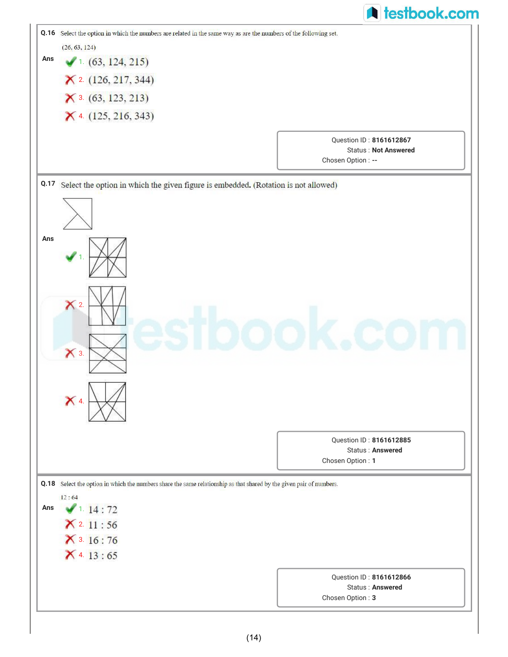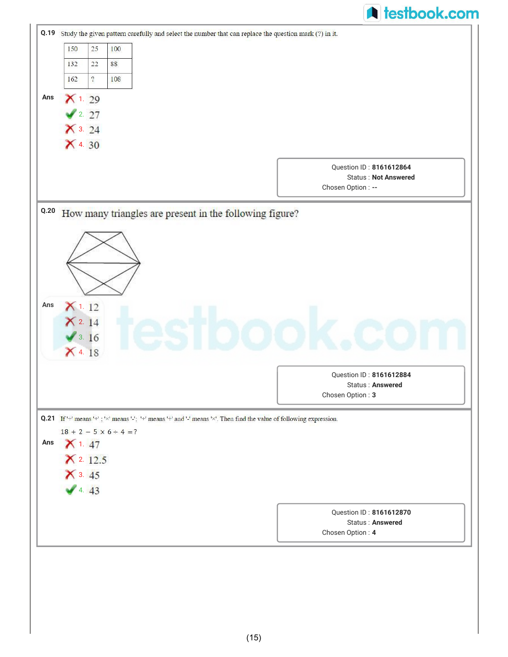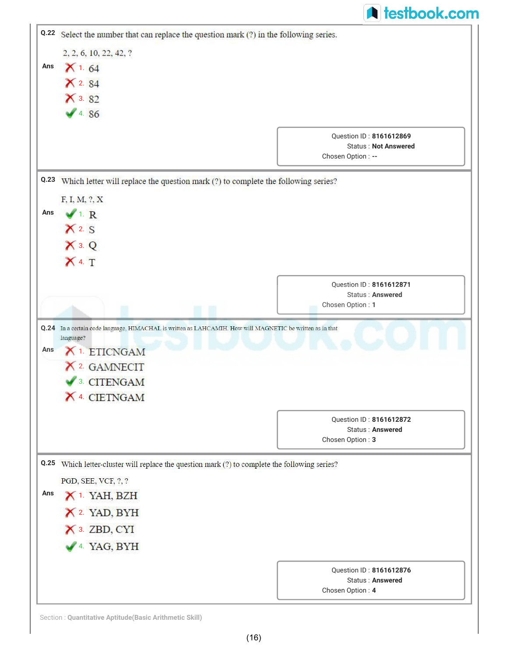|      |                                                                                                                                         | <b>A</b> testbook.com       |
|------|-----------------------------------------------------------------------------------------------------------------------------------------|-----------------------------|
| Q.22 | Select the number that can replace the question mark (?) in the following series.                                                       |                             |
|      | 2, 2, 6, 10, 22, 42, ?                                                                                                                  |                             |
| Ans  | $X$ 1.64                                                                                                                                |                             |
|      | $X^2.84$                                                                                                                                |                             |
|      | $X$ 3. 82                                                                                                                               |                             |
|      | 4.86                                                                                                                                    |                             |
|      |                                                                                                                                         | Question ID: 8161612869     |
|      |                                                                                                                                         | <b>Status: Not Answered</b> |
|      |                                                                                                                                         | Chosen Option: --           |
| Q.23 | Which letter will replace the question mark (?) to complete the following series?                                                       |                             |
|      | F, I, M, ?, X                                                                                                                           |                             |
| Ans  | $\sqrt{1}$ R                                                                                                                            |                             |
|      | $X$ 2. S                                                                                                                                |                             |
|      | $X$ 3. $Q$                                                                                                                              |                             |
|      | $X$ 4. $T$                                                                                                                              |                             |
|      |                                                                                                                                         | Question ID: 8161612871     |
|      |                                                                                                                                         | <b>Status: Answered</b>     |
|      |                                                                                                                                         | Chosen Option: 1            |
| Ans  | Q.24 In a certain code language, HIMACHAL is written as LAHCAMIH. How will MAGNETIC be written as in that<br>language?<br>X 1. ETICNGAM |                             |
|      | X 2. GAMNECIT                                                                                                                           |                             |
|      | <sup>3</sup> . CITENGAM                                                                                                                 |                             |
|      | X 4. CIETNGAM                                                                                                                           |                             |
|      |                                                                                                                                         | Question ID: 8161612872     |
|      |                                                                                                                                         | <b>Status: Answered</b>     |
|      |                                                                                                                                         | Chosen Option: 3            |
|      | Q.25 Which letter-cluster will replace the question mark (?) to complete the following series?                                          |                             |
|      | PGD, SEE, VCF, ?, ?                                                                                                                     |                             |
| Ans  | X <sup>1</sup> . YAH, BZH                                                                                                               |                             |
|      | X 2. YAD, BYH                                                                                                                           |                             |
|      | X 3. ZBD, CYI                                                                                                                           |                             |
|      | 4. YAG, BYH                                                                                                                             |                             |
|      |                                                                                                                                         | Question ID: 8161612876     |
|      |                                                                                                                                         | <b>Status: Answered</b>     |
|      |                                                                                                                                         | Chosen Option: 4            |

Section : **Quantitative Aptitude(Basic Arithmetic Skill)**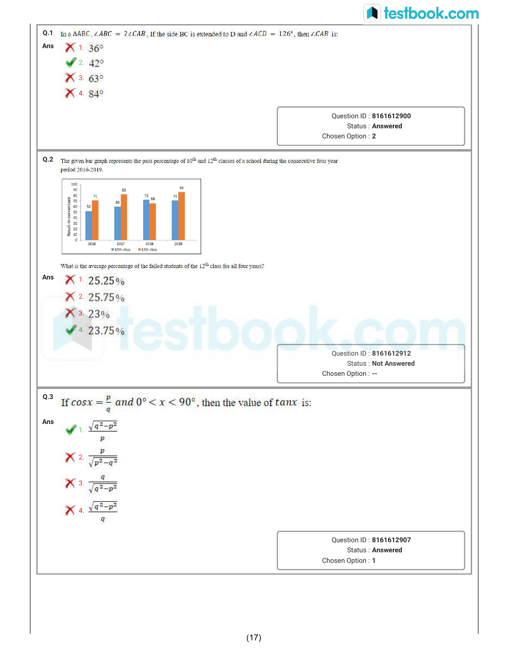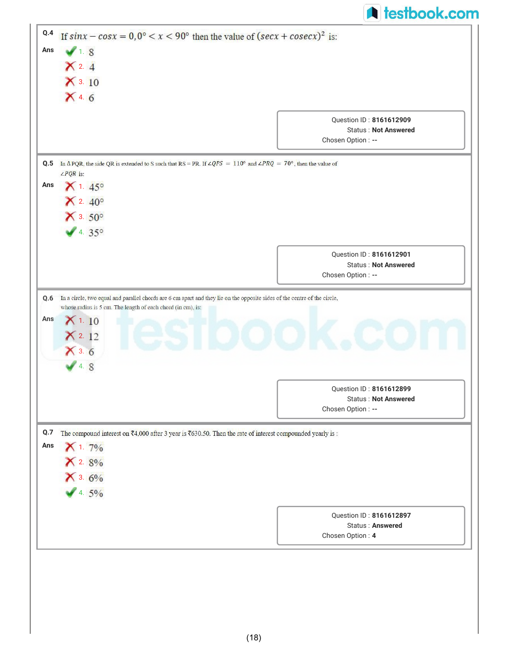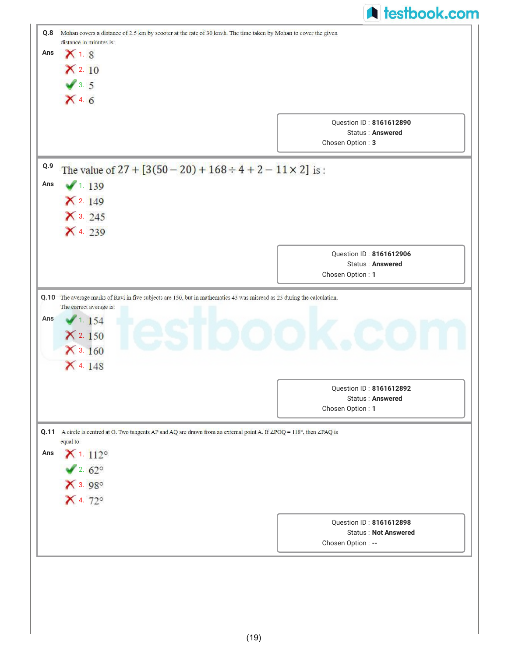| Q.8         |                          | <b>A</b> testbook.com                                                                                                    |
|-------------|--------------------------|--------------------------------------------------------------------------------------------------------------------------|
|             | distance in minutes is:  | Mohan covers a distance of 2.5 km by scooter at the rate of 30 km/h. The time taken by Mohan to cover the given          |
| Ans         | $X$ 1. 8                 |                                                                                                                          |
|             | $\times$ 2.10            |                                                                                                                          |
|             | $\sqrt{3.5}$             |                                                                                                                          |
|             |                          |                                                                                                                          |
|             | X4.6                     |                                                                                                                          |
|             |                          | <b>Ouestion ID: 8161612890</b>                                                                                           |
|             |                          | Status: Answered<br>Chosen Option: 3                                                                                     |
|             |                          |                                                                                                                          |
| Q.9         |                          | The value of $27 + [3(50 - 20) + 168 \div 4 + 2 - 11 \times 2]$ is:                                                      |
| Ans         | 1.139                    |                                                                                                                          |
|             | $X$ 2. 149               |                                                                                                                          |
|             | $X$ 3. 245               |                                                                                                                          |
|             | X 4. 239                 |                                                                                                                          |
|             |                          |                                                                                                                          |
|             |                          | Question ID: 8161612906                                                                                                  |
|             |                          | Status: Answered<br>Chosen Option: 1                                                                                     |
|             |                          |                                                                                                                          |
|             |                          | Q.10 The average marks of Ravi in five subjects are 150, but in mathematics 43 was misread as 23 during the calculation. |
| Ans         | The correct average is:  |                                                                                                                          |
|             | 1.154                    |                                                                                                                          |
|             | $X$ 2.150                |                                                                                                                          |
|             | $X$ 3. 160               |                                                                                                                          |
|             | X 4. 148                 |                                                                                                                          |
|             |                          |                                                                                                                          |
|             |                          | Question ID: 8161612892                                                                                                  |
|             |                          | Status: Answered                                                                                                         |
|             |                          | Chosen Option: 1                                                                                                         |
|             |                          | A circle is centred at O. Two tangents AP and AQ are drawn from an external point A. If ∠POQ = 118°, then ∠PAQ is        |
|             | equal to:                |                                                                                                                          |
|             | $X$ 1. 112 $^{\circ}$    |                                                                                                                          |
|             | $2.62^{\circ}$           |                                                                                                                          |
|             |                          |                                                                                                                          |
|             | $X$ 3. 98°<br>$X$ 4. 72° |                                                                                                                          |
|             |                          |                                                                                                                          |
| Q.11<br>Ans |                          | Question ID: 8161612898<br><b>Status: Not Answered</b>                                                                   |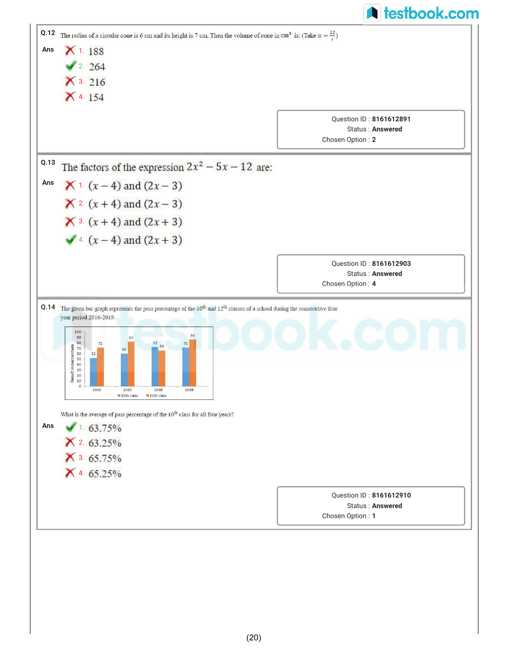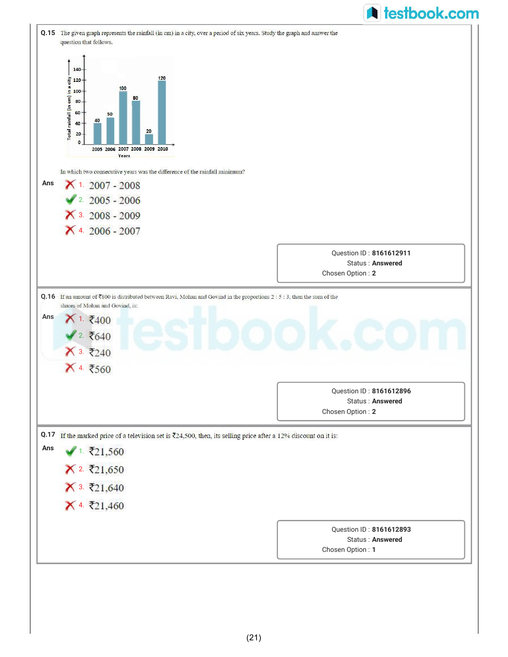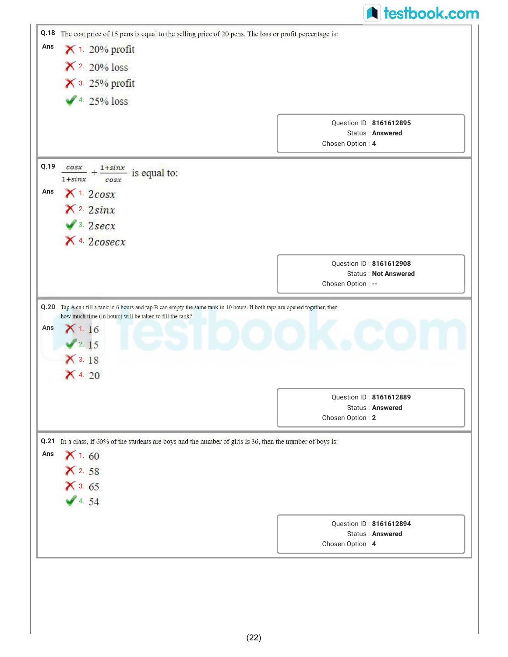|                    |                                                                                                                                                                                                | <b>A</b> testbook.com                                  |
|--------------------|------------------------------------------------------------------------------------------------------------------------------------------------------------------------------------------------|--------------------------------------------------------|
| Q.18               | The cost price of 15 pens is equal to the selling price of 20 pens. The loss or profit percentage is:                                                                                          |                                                        |
| Ans                | $\times$ 1. 20% profit                                                                                                                                                                         |                                                        |
|                    | $\times$ 20% loss                                                                                                                                                                              |                                                        |
|                    | $\times$ 3. 25% profit                                                                                                                                                                         |                                                        |
|                    | $4.25\%$ loss                                                                                                                                                                                  |                                                        |
|                    |                                                                                                                                                                                                |                                                        |
|                    |                                                                                                                                                                                                | Question ID: 8161612895<br>Status: Answered            |
|                    |                                                                                                                                                                                                | Chosen Option: 4                                       |
| Q.19               | cos x<br>$+\frac{1+sinx}{e}$ is equal to:<br>$1+sinx$<br>cos x                                                                                                                                 |                                                        |
| Ans                | $X$ <sup>1.</sup> 2 $cos x$                                                                                                                                                                    |                                                        |
|                    | $X^2$ 2sinx                                                                                                                                                                                    |                                                        |
|                    | $\blacktriangleright$ 3. 2secx                                                                                                                                                                 |                                                        |
|                    | $X$ 4. $2 \csc x$                                                                                                                                                                              |                                                        |
|                    |                                                                                                                                                                                                |                                                        |
|                    |                                                                                                                                                                                                |                                                        |
|                    |                                                                                                                                                                                                | Question ID: 8161612908<br><b>Status: Not Answered</b> |
|                    | Tap A can fill a tank in 6 hours and tap B can empty the same tank in 10 hours. If both taps are opened together, then<br>how much time (in hours) will be taken to fill the tank?<br>$X$ 1.16 | Chosen Option : --                                     |
|                    | 2.15<br>$X$ 3. 18<br>$\times$ 4. 20                                                                                                                                                            |                                                        |
|                    |                                                                                                                                                                                                |                                                        |
|                    |                                                                                                                                                                                                | Question ID: 8161612889<br><b>Status: Answered</b>     |
|                    |                                                                                                                                                                                                | Chosen Option: 2                                       |
|                    | Q.21 In a class, if 60% of the students are boys and the number of girls is 36, then the number of boys is:                                                                                    |                                                        |
|                    | X1.60                                                                                                                                                                                          |                                                        |
|                    | X2.58                                                                                                                                                                                          |                                                        |
|                    | $X$ 3. 65                                                                                                                                                                                      |                                                        |
|                    | 4.54                                                                                                                                                                                           |                                                        |
|                    |                                                                                                                                                                                                | Question ID: 8161612894                                |
| Q.20<br>Ans<br>Ans |                                                                                                                                                                                                | <b>Status: Answered</b><br>Chosen Option: 4            |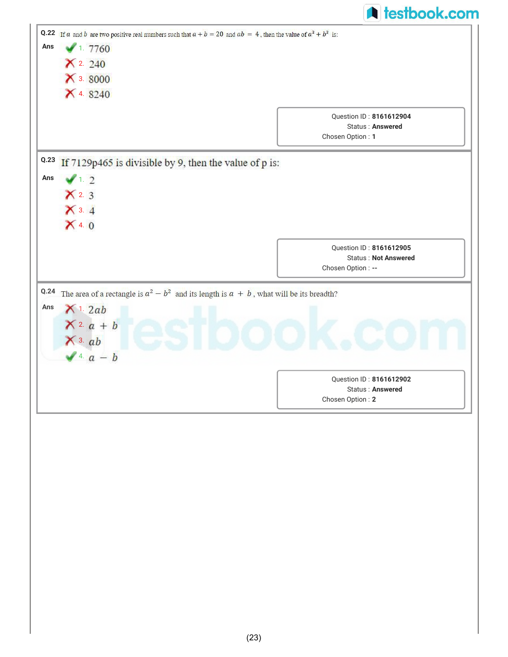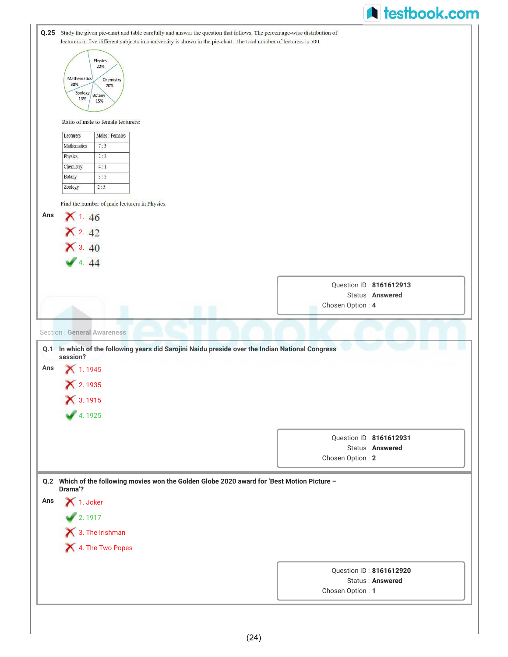|     |                                                                                                                              |                         | <b>A</b> testbook.com |
|-----|------------------------------------------------------------------------------------------------------------------------------|-------------------------|-----------------------|
|     | Q.25 Study the given pie-chart and table carefully and answer the question that follows. The percentage-wise distribution of |                         |                       |
|     | lecturers in five different subjects in a university is shown in the pie-chart. The total number of lecturers is 500.        |                         |                       |
|     | Physics                                                                                                                      |                         |                       |
|     | 22%<br>Mathematics                                                                                                           |                         |                       |
|     | Chemistry<br>30%<br>20%                                                                                                      |                         |                       |
|     | Zoology<br>Botany<br>13%<br>15%                                                                                              |                         |                       |
|     |                                                                                                                              |                         |                       |
|     | Ratio of male to female lecturers:                                                                                           |                         |                       |
|     | Males : Females<br>Lecturers                                                                                                 |                         |                       |
|     | Mathematics<br>7:3<br>2:3<br>Physics                                                                                         |                         |                       |
|     | 4:1<br>Chemistry                                                                                                             |                         |                       |
|     | 3:5<br>Botany                                                                                                                |                         |                       |
|     | 2:5<br>Zoology                                                                                                               |                         |                       |
|     | Find the number of male lecturers in Physics.                                                                                |                         |                       |
| Ans | $X$ 1.46                                                                                                                     |                         |                       |
|     | $X$ 2.42                                                                                                                     |                         |                       |
|     | $X$ 3. 40                                                                                                                    |                         |                       |
|     | 4.44                                                                                                                         |                         |                       |
|     |                                                                                                                              |                         |                       |
|     |                                                                                                                              | Question ID: 8161612913 |                       |
|     |                                                                                                                              | <b>Status: Answered</b> |                       |
|     |                                                                                                                              | Chosen Option: 4        |                       |
|     |                                                                                                                              |                         |                       |
|     | <b>Section: General Awareness</b>                                                                                            |                         |                       |
|     | Q.1 In which of the following years did Sarojini Naidu preside over the Indian National Congress<br>session?                 |                         |                       |
| Ans | $X$ 1.1945                                                                                                                   |                         |                       |
|     | × 2.1935                                                                                                                     |                         |                       |
|     |                                                                                                                              |                         |                       |
|     | X 3.1915                                                                                                                     |                         |                       |
|     | 4.1925                                                                                                                       |                         |                       |
|     |                                                                                                                              | Question ID: 8161612931 |                       |
|     |                                                                                                                              | Status: Answered        |                       |
|     |                                                                                                                              | Chosen Option: 2        |                       |
|     |                                                                                                                              |                         |                       |
|     | Q.2 Which of the following movies won the Golden Globe 2020 award for 'Best Motion Picture -<br>Drama'?                      |                         |                       |
| Ans | 1. Joker                                                                                                                     |                         |                       |
|     | 2.1917                                                                                                                       |                         |                       |
|     | 1 3. The Irishman                                                                                                            |                         |                       |
|     |                                                                                                                              |                         |                       |
|     | 4. The Two Popes                                                                                                             |                         |                       |
|     |                                                                                                                              |                         |                       |
|     |                                                                                                                              | Question ID: 8161612920 |                       |
|     |                                                                                                                              | Status: Answered        |                       |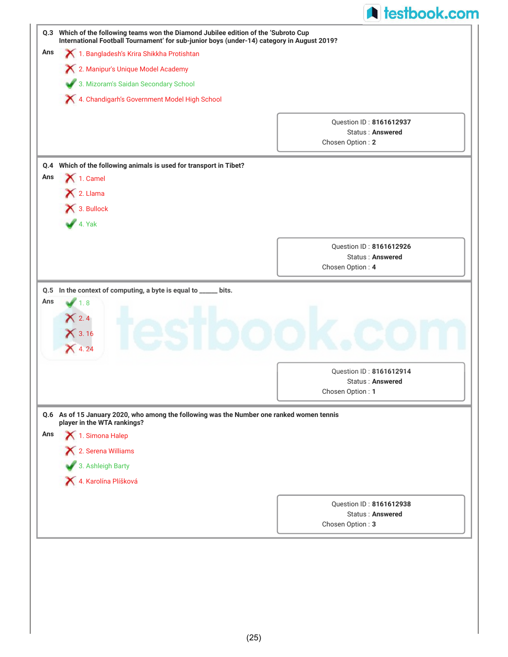|            | Q.3 Which of the following teams won the Diamond Jubilee edition of the 'Subroto Cup<br>International Football Tournament' for sub-junior boys (under-14) category in August 2019? |                                                    |  |
|------------|------------------------------------------------------------------------------------------------------------------------------------------------------------------------------------|----------------------------------------------------|--|
| Ans        | 1. Bangladesh's Krira Shikkha Protishtan                                                                                                                                           |                                                    |  |
|            | X 2. Manipur's Unique Model Academy                                                                                                                                                |                                                    |  |
|            | 3. Mizoram's Saidan Secondary School                                                                                                                                               |                                                    |  |
|            | X 4. Chandigarh's Government Model High School                                                                                                                                     |                                                    |  |
|            |                                                                                                                                                                                    |                                                    |  |
|            |                                                                                                                                                                                    | Ouestion ID: 8161612937<br><b>Status: Answered</b> |  |
|            |                                                                                                                                                                                    | Chosen Option: 2                                   |  |
|            |                                                                                                                                                                                    |                                                    |  |
| Q.4        | Which of the following animals is used for transport in Tibet?                                                                                                                     |                                                    |  |
| Ans        | $\bigtimes$ 1. Camel                                                                                                                                                               |                                                    |  |
|            | X 2. Llama                                                                                                                                                                         |                                                    |  |
|            | 3. Bullock                                                                                                                                                                         |                                                    |  |
|            | 4. Yak                                                                                                                                                                             |                                                    |  |
|            |                                                                                                                                                                                    |                                                    |  |
|            |                                                                                                                                                                                    | Question ID: 8161612926<br><b>Status: Answered</b> |  |
|            |                                                                                                                                                                                    | Chosen Option: 4                                   |  |
|            | In the context of computing, a byte is equal to _____ bits.<br>1.8<br>2.4                                                                                                          |                                                    |  |
|            | $\bigtimes$ 3.16                                                                                                                                                                   |                                                    |  |
|            | 4.24                                                                                                                                                                               |                                                    |  |
| Q.5<br>Ans |                                                                                                                                                                                    | Question ID: 8161612914                            |  |
|            |                                                                                                                                                                                    | Status: Answered                                   |  |
|            |                                                                                                                                                                                    | Chosen Option: 1                                   |  |
|            | Q.6 As of 15 January 2020, who among the following was the Number one ranked women tennis                                                                                          |                                                    |  |
|            | player in the WTA rankings?                                                                                                                                                        |                                                    |  |
|            | 1. Simona Halep                                                                                                                                                                    |                                                    |  |
|            | X 2. Serena Williams                                                                                                                                                               |                                                    |  |
|            | 3. Ashleigh Barty                                                                                                                                                                  |                                                    |  |
|            | X 4. Karolína Plíšková                                                                                                                                                             |                                                    |  |
| Ans        |                                                                                                                                                                                    | Question ID: 8161612938                            |  |
|            |                                                                                                                                                                                    | <b>Status: Answered</b><br>Chosen Option: 3        |  |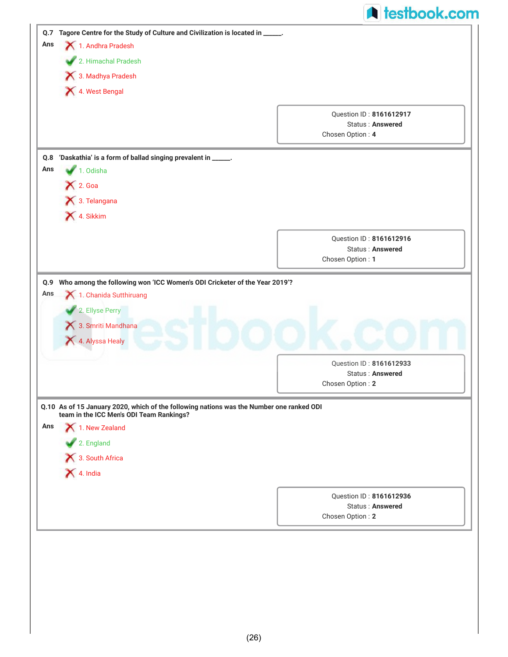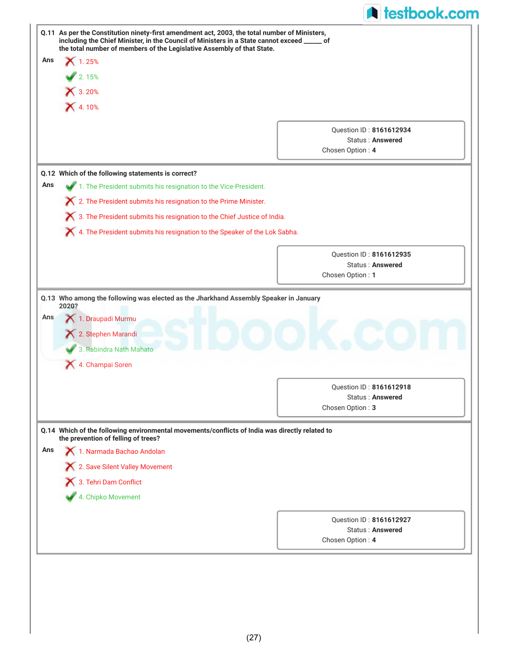|            | Q.11 As per the Constitution ninety-first amendment act, 2003, the total number of Ministers,<br>including the Chief Minister, in the Council of Ministers in a State cannot exceed _____ of<br>the total number of members of the Legislative Assembly of that State. |                                             |
|------------|------------------------------------------------------------------------------------------------------------------------------------------------------------------------------------------------------------------------------------------------------------------------|---------------------------------------------|
| Ans        | $X$ 1.25%                                                                                                                                                                                                                                                              |                                             |
|            | 2.15%                                                                                                                                                                                                                                                                  |                                             |
|            | <b>X</b> 3.20%                                                                                                                                                                                                                                                         |                                             |
|            | X 4.10%                                                                                                                                                                                                                                                                |                                             |
|            |                                                                                                                                                                                                                                                                        |                                             |
|            |                                                                                                                                                                                                                                                                        | Question ID: 8161612934                     |
|            |                                                                                                                                                                                                                                                                        | <b>Status: Answered</b><br>Chosen Option: 4 |
|            |                                                                                                                                                                                                                                                                        |                                             |
|            | Q.12 Which of the following statements is correct?                                                                                                                                                                                                                     |                                             |
| Ans        | 1. The President submits his resignation to the Vice-President.                                                                                                                                                                                                        |                                             |
|            | X 2. The President submits his resignation to the Prime Minister.                                                                                                                                                                                                      |                                             |
|            | X 3. The President submits his resignation to the Chief Justice of India.                                                                                                                                                                                              |                                             |
|            | X 4. The President submits his resignation to the Speaker of the Lok Sabha.                                                                                                                                                                                            |                                             |
|            |                                                                                                                                                                                                                                                                        |                                             |
|            |                                                                                                                                                                                                                                                                        | Question ID: 8161612935                     |
|            |                                                                                                                                                                                                                                                                        |                                             |
|            | Q.13 Who among the following was elected as the Jharkhand Assembly Speaker in January<br>2020?<br>1. Draupadi Murmu<br>2. Stephen Marandi                                                                                                                              | Status: Answered<br>Chosen Option: 1        |
|            | 3. Rabindra Nath Mahato                                                                                                                                                                                                                                                |                                             |
|            | 4. Champai Soren                                                                                                                                                                                                                                                       |                                             |
|            |                                                                                                                                                                                                                                                                        | <b>Ouestion ID: 8161612918</b>              |
|            |                                                                                                                                                                                                                                                                        | <b>Status: Answered</b>                     |
|            |                                                                                                                                                                                                                                                                        | Chosen Option: 3                            |
|            | Q.14 Which of the following environmental movements/conflicts of India was directly related to                                                                                                                                                                         |                                             |
|            | the prevention of felling of trees?                                                                                                                                                                                                                                    |                                             |
|            | 1. Narmada Bachao Andolan                                                                                                                                                                                                                                              |                                             |
|            | X 2. Save Silent Valley Movement                                                                                                                                                                                                                                       |                                             |
|            | 3. Tehri Dam Conflict                                                                                                                                                                                                                                                  |                                             |
|            | 4. Chipko Movement                                                                                                                                                                                                                                                     |                                             |
|            |                                                                                                                                                                                                                                                                        | <b>Ouestion ID: 8161612927</b>              |
| Ans<br>Ans |                                                                                                                                                                                                                                                                        | <b>Status: Answered</b><br>Chosen Option: 4 |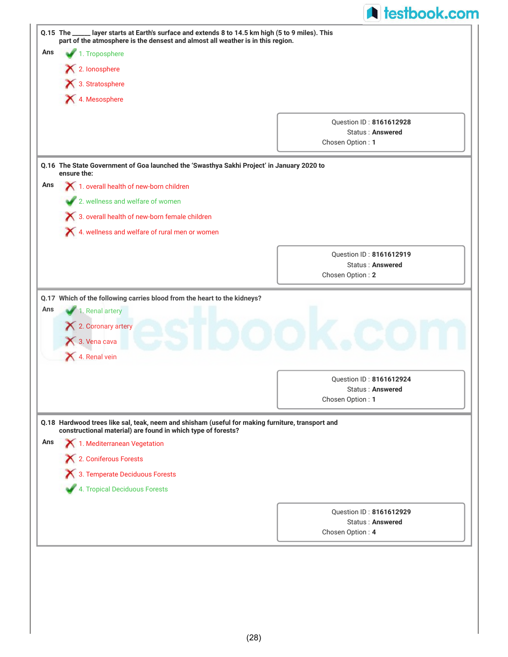|     | Q.15 The _____ layer starts at Earth's surface and extends 8 to 14.5 km high (5 to 9 miles). This<br>part of the atmosphere is the densest and almost all weather is in this region. |                                                    |
|-----|--------------------------------------------------------------------------------------------------------------------------------------------------------------------------------------|----------------------------------------------------|
| Ans | 1. Troposphere                                                                                                                                                                       |                                                    |
|     | 2. lonosphere                                                                                                                                                                        |                                                    |
|     | 3. Stratosphere                                                                                                                                                                      |                                                    |
|     | 4. Mesosphere                                                                                                                                                                        |                                                    |
|     |                                                                                                                                                                                      |                                                    |
|     |                                                                                                                                                                                      | Question ID: 8161612928                            |
|     |                                                                                                                                                                                      | <b>Status: Answered</b><br>Chosen Option: 1        |
|     |                                                                                                                                                                                      |                                                    |
|     | Q.16 The State Government of Goa launched the 'Swasthya Sakhi Project' in January 2020 to<br>ensure the:                                                                             |                                                    |
| Ans | 1. overall health of new-born children                                                                                                                                               |                                                    |
|     | 2. wellness and welfare of women                                                                                                                                                     |                                                    |
|     | X 3. overall health of new-born female children                                                                                                                                      |                                                    |
|     | X 4. wellness and welfare of rural men or women                                                                                                                                      |                                                    |
|     |                                                                                                                                                                                      |                                                    |
|     |                                                                                                                                                                                      | Question ID: 8161612919<br><b>Status: Answered</b> |
|     |                                                                                                                                                                                      |                                                    |
|     | Q.17 Which of the following carries blood from the heart to the kidneys?<br>1. Renal artery<br>2. Coronary artery                                                                    | Chosen Option: 2                                   |
|     | 3. Vena cava<br>4. Renal vein                                                                                                                                                        |                                                    |
|     |                                                                                                                                                                                      |                                                    |
|     |                                                                                                                                                                                      | Question ID: 8161612924<br><b>Status: Answered</b> |
|     |                                                                                                                                                                                      | Chosen Option: 1                                   |
| Ans | Q.18 Hardwood trees like sal, teak, neem and shisham (useful for making furniture, transport and<br>constructional material) are found in which type of forests?                     |                                                    |
|     | 1. Mediterranean Vegetation                                                                                                                                                          |                                                    |
| Ans | X 2. Coniferous Forests                                                                                                                                                              |                                                    |
|     | X 3. Temperate Deciduous Forests                                                                                                                                                     |                                                    |
|     | 4. Tropical Deciduous Forests                                                                                                                                                        |                                                    |
|     |                                                                                                                                                                                      |                                                    |
|     |                                                                                                                                                                                      | Question ID: 8161612929<br>Status: Answered        |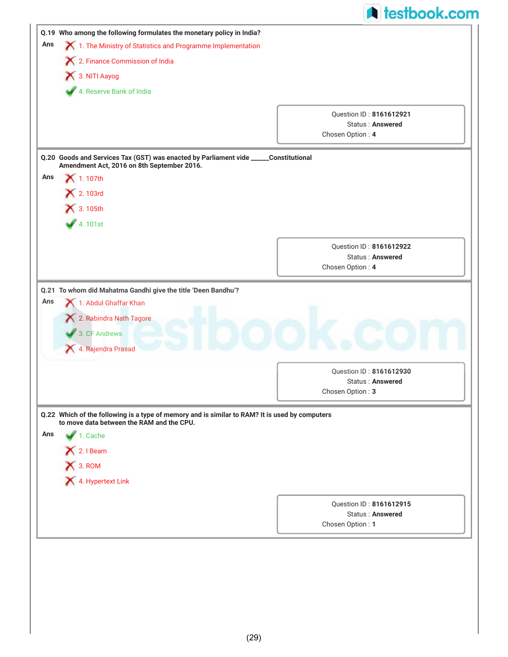|     |                                                                                                                                             | <b>A</b> testbook.com                |
|-----|---------------------------------------------------------------------------------------------------------------------------------------------|--------------------------------------|
|     | Q.19 Who among the following formulates the monetary policy in India?                                                                       |                                      |
| Ans | 1. The Ministry of Statistics and Programme Implementation                                                                                  |                                      |
|     | X 2. Finance Commission of India                                                                                                            |                                      |
|     | 3. NITI Aayog                                                                                                                               |                                      |
|     | 4. Reserve Bank of India                                                                                                                    |                                      |
|     |                                                                                                                                             | Question ID: 8161612921              |
|     |                                                                                                                                             | <b>Status: Answered</b>              |
|     |                                                                                                                                             | Chosen Option: 4                     |
|     | Q.20 Goods and Services Tax (GST) was enacted by Parliament vide _____Constitutional<br>Amendment Act, 2016 on 8th September 2016.          |                                      |
| Ans | $\blacktriangleright$ 1.107th                                                                                                               |                                      |
|     | × 2.103rd                                                                                                                                   |                                      |
|     | <b>X</b> 3.105th                                                                                                                            |                                      |
|     | 4.101st                                                                                                                                     |                                      |
|     |                                                                                                                                             | Question ID: 8161612922              |
|     |                                                                                                                                             | <b>Status: Answered</b>              |
|     |                                                                                                                                             | Chosen Option: 4                     |
|     | 1. Abdul Ghaffar Khan                                                                                                                       |                                      |
|     | 2. Rabindra Nath Tagore<br>3. CF Andrews<br>4. Rajendra Prasad                                                                              |                                      |
|     |                                                                                                                                             | Question ID: 8161612930              |
| Ans |                                                                                                                                             | Status: Answered                     |
|     |                                                                                                                                             | Chosen Option: 3                     |
|     | Q.22 Which of the following is a type of memory and is similar to RAM? It is used by computers<br>to move data between the RAM and the CPU. |                                      |
|     | 1. Cache                                                                                                                                    |                                      |
|     | X 2. I Beam                                                                                                                                 |                                      |
|     | X 3. ROM                                                                                                                                    |                                      |
|     | 4. Hypertext Link                                                                                                                           |                                      |
|     |                                                                                                                                             | Question ID: 8161612915              |
| Ans |                                                                                                                                             | Status: Answered<br>Chosen Option: 1 |